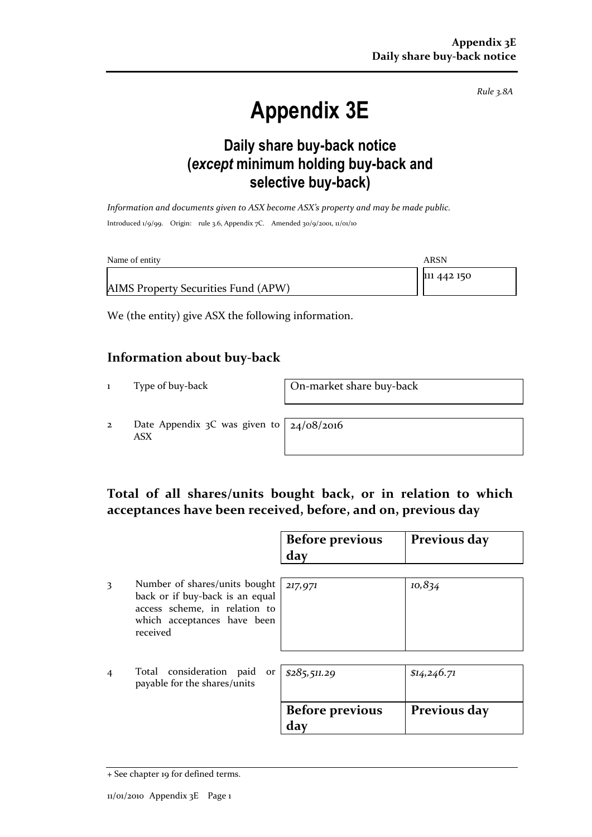*Rule 3.8A*

# **Appendix 3E**

### **Daily share buy-back notice (***except* **minimum holding buy-back and selective buy-back)**

*Information and documents given to ASX become ASX's property and may be made public.* Introduced 1/9/99. Origin: rule 3.6, Appendix 7C. Amended 30/9/2001, 11/01/10

| Name of entity                      | ARSN        |
|-------------------------------------|-------------|
|                                     | 111 442 150 |
| AIMS Property Securities Fund (APW) |             |

We (the entity) give ASX the following information.

#### **Information about buy-back**

1 Type of buy-back On-market share buy-back

2 Date Appendix 3C was given to ASX

24/08/2016

#### **Total of all shares/units bought back, or in relation to which acceptances have been received, before, and on, previous day**

|                |                                                                                                                                              | <b>Before previous</b><br>day | Previous day |
|----------------|----------------------------------------------------------------------------------------------------------------------------------------------|-------------------------------|--------------|
| 3              | Number of shares/units bought<br>back or if buy-back is an equal<br>access scheme, in relation to<br>which acceptances have been<br>received | 217,971                       | 10,834       |
| $\overline{4}$ | Total consideration<br>paid<br>or<br>payable for the shares/units                                                                            | \$285,511.29                  | \$14,246.71  |
|                |                                                                                                                                              | <b>Before previous</b><br>day | Previous day |

<sup>+</sup> See chapter 19 for defined terms.